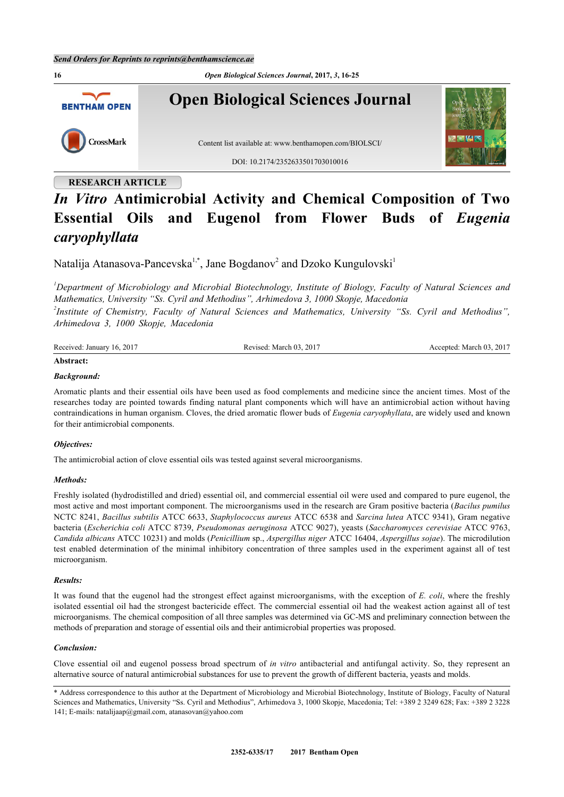**16** *Open Biological Sciences Journal***, 2017,** *3***, 16-25 Open Biological Sciences Journal BENTHAM OPEN** CrossMark Content list available at: [www.benthamopen.com/BIOLSCI/](http://www.benthamopen.com/BIOLSCI/) DOI: [10.2174/2352633501703010016](http://dx.doi.org/10.2174/2352633501703010016)

# **RESEARCH ARTICLE** *In Vitro* **Antimicrobial Activity and Chemical Composition of Two Essential Oils and Eugenol from Flower Buds of** *Eugenia caryophyllata*

Natalija Atanasova-Pancevska<sup>[1](#page-0-0),[\\*](#page-0-1)</sup>, Jane Bogdanov<sup>[2](#page-0-2)</sup> and Dzoko Kungulovski<sup>1</sup>

<span id="page-0-2"></span><span id="page-0-0"></span>*<sup>1</sup>Department of Microbiology and Microbial Biotechnology, Institute of Biology, Faculty of Natural Sciences and Mathematics, University "Ss. Cyril and Methodius", Arhimedova 3, 1000 Skopje, Macedonia 2 Institute of Chemistry, Faculty of Natural Sciences and Mathematics, University "Ss. Cyril and Methodius", Arhimedova 3, 1000 Skopje, Macedonia*

| Received: January<br>201'<br>16. | .2017<br>$\sim$<br>March 03<br>evised<br>. | $201^{-}$<br>March 03<br>ccented<br>. |
|----------------------------------|--------------------------------------------|---------------------------------------|
|                                  |                                            |                                       |

# **Abstract:**

# *Background:*

Aromatic plants and their essential oils have been used as food complements and medicine since the ancient times. Most of the researches today are pointed towards finding natural plant components which will have an antimicrobial action without having contraindications in human organism. Cloves, the dried aromatic flower buds of *Eugenia caryophyllata*, are widely used and known for their antimicrobial components.

# *Objectives:*

The antimicrobial action of clove essential oils was tested against several microorganisms.

# *Methods:*

Freshly isolated (hydrodistilled and dried) essential oil, and commercial essential oil were used and compared to pure eugenol, the most active and most important component. The microorganisms used in the research are Gram positive bacteria (*Bacilus pumilus* NCTC 8241, *Bacillus subtilis* ATCC 6633, *Staphylococcus aureus* ATCC 6538 and *Sarcina lutea* ATCC 9341), Gram negative bacteria (*Escherichia coli* ATCC 8739, *Pseudomonas aeruginosa* ATCC 9027), yeasts (*Saccharomyces cerevisiae* ATCC 9763, *Candida albicans* ATCC 10231) and molds (*Penicillium* sp., *Aspergillus niger* ATCC 16404, *Aspergillus sojae*). The microdilution test enabled determination of the minimal inhibitory concentration of three samples used in the experiment against all of test microorganism.

# *Results:*

It was found that the eugenol had the strongest effect against microorganisms, with the exception of *E. coli*, where the freshly isolated essential oil had the strongest bactericide effect. The commercial essential oil had the weakest action against all of test microorganisms. The chemical composition of all three samples was determined via GC-MS and preliminary connection between the methods of preparation and storage of essential oils and their antimicrobial properties was proposed.

# *Conclusion:*

Clove essential oil and eugenol possess broad spectrum of *in vitro* antibacterial and antifungal activity. So, they represent an alternative source of natural antimicrobial substances for use to prevent the growth of different bacteria, yeasts and molds.

<span id="page-0-1"></span><sup>\*</sup> Address correspondence to this author at the Department of Microbiology and Microbial Biotechnology, Institute of Biology, Faculty of Natural Sciences and Mathematics, University "Ss. Cyril and Methodius", Arhimedova 3, 1000 Skopje, Macedonia; Tel: +389 2 3249 628; Fax: +389 2 3228 141; E-mails: [natalijaap@gmail.com,](mailto:natalijaap@gmail.com) [atanasovan@yahoo.com](mailto:atanasovan@yahoo.com)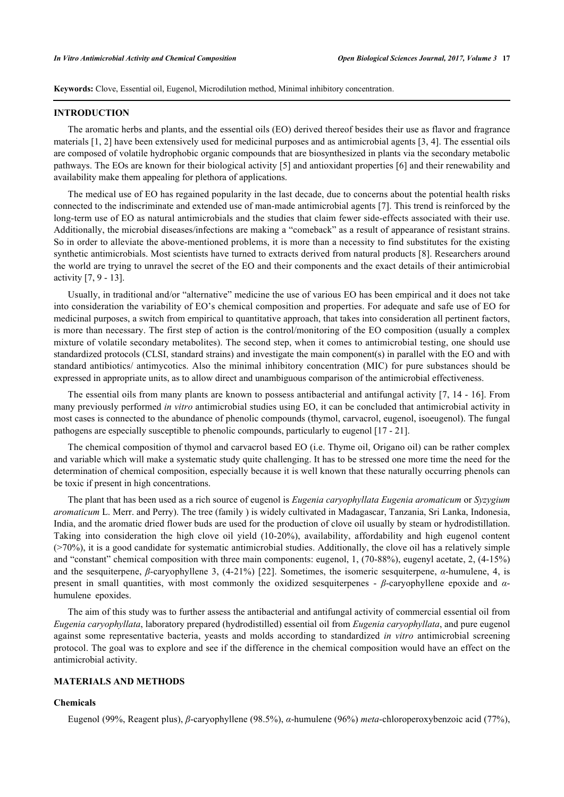**Keywords:** Clove, Essential oil, Eugenol, Microdilution method, Minimal inhibitory concentration.

#### **INTRODUCTION**

The aromatic herbs and plants, and the essential oils (EO) derived thereof besides their use as flavor and fragrance materials [[1,](#page-6-0) [2\]](#page-6-1) have been extensively used for medicinal purposes and as antimicrobial agents [[3,](#page-6-2) [4\]](#page-6-3). The essential oils are composed of volatile hydrophobic organic compounds that are biosynthesized in plants via the secondary metabolic pathways. The EOs are known for their biological activity [[5\]](#page-6-4) and antioxidant properties [\[6](#page-6-5)] and their renewability and availability make them appealing for plethora of applications.

The medical use of EO has regained popularity in the last decade, due to concerns about the potential health risks connected to the indiscriminate and extended use of man-made antimicrobial agents [[7\]](#page-6-6). This trend is reinforced by the long-term use of EO as natural antimicrobials and the studies that claim fewer side-effects associated with their use. Additionally, the microbial diseases/infections are making a "comeback" as a result of appearance of resistant strains. So in order to alleviate the above-mentioned problems, it is more than a necessity to find substitutes for the existing synthetic antimicrobials. Most scientists have turned to extracts derived from natural products [\[8](#page-6-7)]. Researchers around the world are trying to unravel the secret of the EO and their components and the exact details of their antimicrobial activity [[7,](#page-6-6) [9](#page-7-0) - [13\]](#page-7-1).

Usually, in traditional and/or "alternative" medicine the use of various EO has been empirical and it does not take into consideration the variability of EO's chemical composition and properties. For adequate and safe use of EO for medicinal purposes, a switch from empirical to quantitative approach, that takes into consideration all pertinent factors, is more than necessary. The first step of action is the control/monitoring of the EO composition (usually a complex mixture of volatile secondary metabolites). The second step, when it comes to antimicrobial testing, one should use standardized protocols (CLSI, standard strains) and investigate the main component(s) in parallel with the EO and with standard antibiotics/ antimycotics. Also the minimal inhibitory concentration (MIC) for pure substances should be expressed in appropriate units, as to allow direct and unambiguous comparison of the antimicrobial effectiveness.

The essential oils from many plants are known to possess antibacterial and antifungal activity [[7](#page-6-6), [14](#page-7-2) - [16\]](#page-7-3). From many previously performed *in vitro* antimicrobial studies using EO, it can be concluded that antimicrobial activity in most cases is connected to the abundance of phenolic compounds (thymol, carvacrol, eugenol, isoeugenol). The fungal pathogens are especially susceptible to phenolic compounds, particularly to eugenol [[17](#page-7-4) - [21\]](#page-7-5).

The chemical composition of thymol and carvacrol based EO (i.e. Thyme oil, Origano oil) can be rather complex and variable which will make a systematic study quite challenging. It has to be stressed one more time the need for the determination of chemical composition, especially because it is well known that these naturally occurring phenols can be toxic if present in high concentrations.

The plant that has been used as a rich source of eugenol is *Eugenia caryophyllata Eugenia aromaticum* or *Syzygium aromaticum* L. Merr. and Perry). The tree (family ) is widely cultivated in Madagascar, Tanzania, Sri Lanka, Indonesia, India, and the aromatic dried flower buds are used for the production of clove oil usually by steam or hydrodistillation. Taking into consideration the high clove oil yield (10-20%), availability, affordability and high eugenol content  $(270\%)$ , it is a good candidate for systematic antimicrobial studies. Additionally, the clove oil has a relatively simple and "constant" chemical composition with three main components: eugenol, 1, (70-88%), eugenyl acetate, 2, (4-15%) and the sesquiterpene, *β*-caryophyllene 3, (4-21%) [\[22](#page-7-6)]. Sometimes, the isomeric sesquiterpene, *α*-humulene, 4, is present in small quantities, with most commonly the oxidized sesquiterpenes - *β*-caryophyllene epoxide and *α*humulene epoxides.

The aim of this study was to further assess the antibacterial and antifungal activity of commercial essential oil from *Eugenia caryophyllata*, laboratory prepared (hydrodistilled) essential oil from *Eugenia caryophyllata*, and pure eugenol against some representative bacteria, yeasts and molds according to standardized *in vitro* antimicrobial screening protocol. The goal was to explore and see if the difference in the chemical composition would have an effect on the antimicrobial activity.

# **MATERIALS AND METHODS**

## **Chemicals**

Eugenol (99%, Reagent plus), *β*-caryophyllene (98.5%), *α*-humulene (96%) *meta*-chloroperoxybenzoic acid (77%),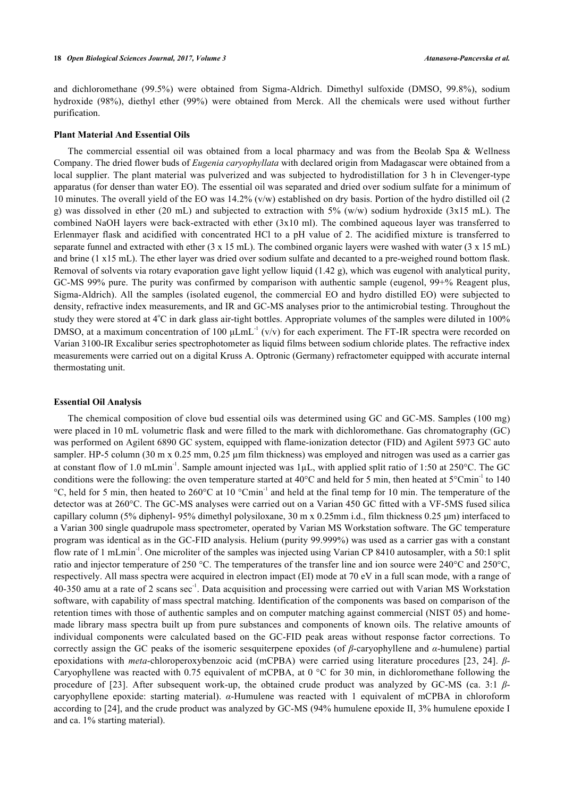and dichloromethane (99.5%) were obtained from Sigma-Aldrich. Dimethyl sulfoxide (DMSO, 99.8%), sodium hydroxide (98%), diethyl ether (99%) were obtained from Merck. All the chemicals were used without further purification.

## **Plant Material And Essential Oils**

The commercial essential oil was obtained from a local pharmacy and was from the Beolab Spa & Wellness Company. The dried flower buds of *Eugenia caryophyllata* with declared origin from Madagascar were obtained from a local supplier. The plant material was pulverized and was subjected to hydrodistillation for 3 h in Clevenger-type apparatus (for denser than water EO). The essential oil was separated and dried over sodium sulfate for a minimum of 10 minutes. The overall yield of the EO was 14.2% (v/w) established on dry basis. Portion of the hydro distilled oil (2 g) was dissolved in ether (20 mL) and subjected to extraction with  $5\%$  (w/w) sodium hydroxide (3x15 mL). The combined NaOH layers were back-extracted with ether (3x10 ml). The combined aqueous layer was transferred to Erlenmayer flask and acidified with concentrated HCl to a pH value of 2. The acidified mixture is transferred to separate funnel and extracted with ether  $(3 \times 15 \text{ mL})$ . The combined organic layers were washed with water  $(3 \times 15 \text{ mL})$ and brine (1 x15 mL). The ether layer was dried over sodium sulfate and decanted to a pre-weighed round bottom flask. Removal of solvents via rotary evaporation gave light yellow liquid  $(1.42 \text{ g})$ , which was eugenol with analytical purity, GC-MS 99% pure. The purity was confirmed by comparison with authentic sample (eugenol, 99+% Reagent plus, Sigma-Aldrich). All the samples (isolated eugenol, the commercial EO and hydro distilled EO) were subjected to density, refractive index measurements, and IR and GC-MS analyses prior to the antimicrobial testing. Throughout the study they were stored at  $4^{\circ}$ C in dark glass air-tight bottles. Appropriate volumes of the samples were diluted in 100% DMSO, at a maximum concentration of 100  $\mu$ LmL<sup>-1</sup> (v/v) for each experiment. The FT-IR spectra were recorded on Varian 3100-IR Excalibur series spectrophotometer as liquid films between sodium chloride plates. The refractive index measurements were carried out on a digital Kruss A. Optronic (Germany) refractometer equipped with accurate internal thermostating unit.

## **Essential Oil Analysis**

The chemical composition of clove bud essential oils was determined using GC and GC-MS. Samples (100 mg) were placed in 10 mL volumetric flask and were filled to the mark with dichloromethane. Gas chromatography (GC) was performed on Agilent 6890 GC system, equipped with flame-ionization detector (FID) and Agilent 5973 GC auto sampler. HP-5 column (30 m x 0.25 mm, 0.25 µm film thickness) was employed and nitrogen was used as a carrier gas at constant flow of 1.0 mLmin<sup>-1</sup>. Sample amount injected was  $1\mu$ L, with applied split ratio of 1:50 at 250 $\degree$ C. The GC conditions were the following: the oven temperature started at  $40^{\circ}$ C and held for 5 min, then heated at  $5^{\circ}$ Cmin<sup>-1</sup> to 140 °C, held for 5 min, then heated to 260°C at 10 °Cmin-1 and held at the final temp for 10 min. The temperature of the detector was at 260°C. The GC-MS analyses were carried out on a Varian 450 GC fitted with a VF-5MS fused silica capillary column (5% diphenyl- 95% dimethyl polysiloxane, 30 m x 0.25mm i.d., film thickness 0.25 μm) interfaced to a Varian 300 single quadrupole mass spectrometer, operated by Varian MS Workstation software. The GC temperature program was identical as in the GC-FID analysis. Helium (purity 99.999%) was used as a carrier gas with a constant flow rate of 1 mLmin<sup>-1</sup>. One microliter of the samples was injected using Varian CP 8410 autosampler, with a 50:1 split ratio and injector temperature of 250 °C. The temperatures of the transfer line and ion source were 240°C and 250°C, respectively. All mass spectra were acquired in electron impact (EI) mode at 70 eV in a full scan mode, with a range of 40-350 amu at a rate of 2 scans sec<sup>-1</sup>. Data acquisition and processing were carried out with Varian MS Workstation software, with capability of mass spectral matching. Identification of the components was based on comparison of the retention times with those of authentic samples and on computer matching against commercial (NIST 05) and homemade library mass spectra built up from pure substances and components of known oils. The relative amounts of individual components were calculated based on the GC-FID peak areas without response factor corrections. To correctly assign the GC peaks of the isomeric sesquiterpene epoxides (of *β*-caryophyllene and *α*-humulene) partial epoxidations with *meta*-chloroperoxybenzoic acid (mCPBA) were carried using literature procedures[[23,](#page-7-7) [24\]](#page-7-8). *β*-Caryophyllene was reacted with 0.75 equivalent of mCPBA, at 0 °C for 30 min, in dichloromethane following the procedure of[[23](#page-7-7)]. After subsequent work-up, the obtained crude product was analyzed by GC-MS (ca. 3:1 *β*caryophyllene epoxide: starting material). *α*-Humulene was reacted with 1 equivalent of mCPBA in chloroform according to [\[24](#page-7-8)], and the crude product was analyzed by GC-MS (94% humulene epoxide II, 3% humulene epoxide I and ca. 1% starting material).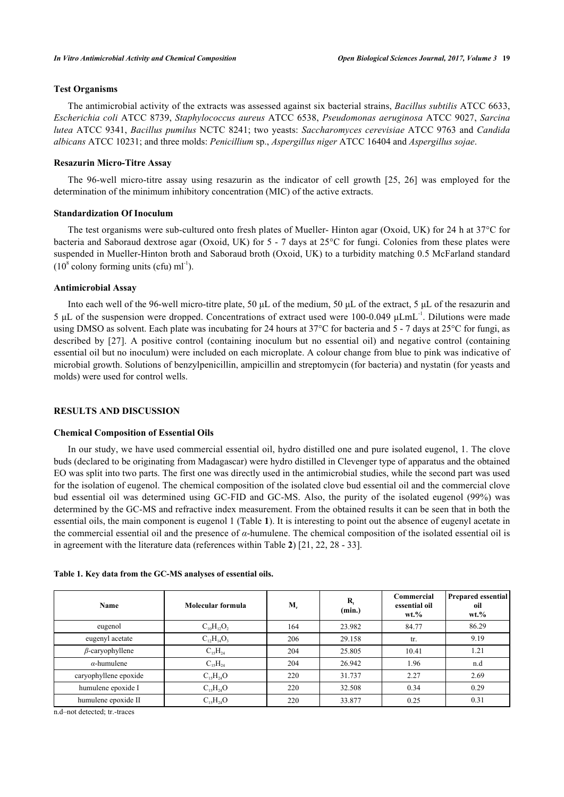# **Test Organisms**

The antimicrobial activity of the extracts was assessed against six bacterial strains, *Bacillus subtilis* ATCC 6633, *Escherichia coli* ATCC 8739, *Staphylococcus aureus* ATCC 6538, *Pseudomonas aeruginosa* ATCC 9027, *Sarcina lutea* ATCC 9341, *Bacillus pumilus* NCTC 8241; two yeasts: *Saccharomyces cerevisiae* ATCC 9763 and *Candida albicans* ATCC 10231; and three molds: *Penicillium* sp., *Aspergillus niger* ATCC 16404 and *Aspergillus sojae*.

# **Resazurin Micro-Titre Assay**

The 96-well micro-titre assay using resazurin as the indicator of cell growth[[25](#page-7-9), [26](#page-7-10)] was employed for the determination of the minimum inhibitory concentration (MIC) of the active extracts.

# **Standardization Of Inoculum**

The test organisms were sub-cultured onto fresh plates of Mueller- Hinton agar (Oxoid, UK) for 24 h at 37°C for bacteria and Saboraud dextrose agar (Oxoid, UK) for 5 - 7 days at 25°C for fungi. Colonies from these plates were suspended in Mueller-Hinton broth and Saboraud broth (Oxoid, UK) to a turbidity matching 0.5 McFarland standard  $(10^8 \text{ colony forming units (cfu) ml}^{-1}).$ 

# **Antimicrobial Assay**

Into each well of the 96-well micro-titre plate, 50 μL of the medium, 50 μL of the extract, 5 μL of the resazurin and 5 μL of the suspension were dropped. Concentrations of extract used were 100-0.049 μLmL-1. Dilutions were made using DMSO as solvent. Each plate was incubating for 24 hours at 37°C for bacteria and 5 - 7 days at 25°C for fungi, as describedby [[27\]](#page-7-11). A positive control (containing inoculum but no essential oil) and negative control (containing essential oil but no inoculum) were included on each microplate. A colour change from blue to pink was indicative of microbial growth. Solutions of benzylpenicillin, ampicillin and streptomycin (for bacteria) and nystatin (for yeasts and molds) were used for control wells.

## **RESULTS AND DISCUSSION**

#### **Chemical Composition of Essential Oils**

In our study, we have used commercial essential oil, hydro distilled one and pure isolated eugenol, 1. The clove buds (declared to be originating from Madagascar) were hydro distilled in Clevenger type of apparatus and the obtained EO was split into two parts. The first one was directly used in the antimicrobial studies, while the second part was used for the isolation of eugenol. The chemical composition of the isolated clove bud essential oil and the commercial clove bud essential oil was determined using GC-FID and GC-MS. Also, the purity of the isolated eugenol (99%) was determined by the GC-MS and refractive index measurement. From the obtained results it can be seen that in both the essential oils, the main component is eugenol 1 (Table **[1](#page-3-0)**). It is interesting to point out the absence of eugenyl acetate in the commercial essential oil and the presence of *α*-humulene. The chemical composition of the isolated essential oil is in agreement with the literature data (references within Table **[2](#page-3-0)**) [\[21](#page-7-5), [22](#page-7-6), [28](#page-7-12) - [33\]](#page-8-0).

| <b>Name</b>            | Molecular formula | $M_{r}$ | R,<br>(min.) | Commercial<br>essential oil<br>$wt. \%$ | <b>Prepared essential</b><br>oil<br>$wt. \%$ |
|------------------------|-------------------|---------|--------------|-----------------------------------------|----------------------------------------------|
| eugenol                | $C_{10}H_{12}O_2$ | 164     | 23.982       | 84.77                                   | 86.29                                        |
| eugenyl acetate        | $C_{12}H_{14}O_3$ | 206     | 29.158       | tr.                                     | 9.19                                         |
| $\beta$ -caryophyllene | $C_{15}H_{24}$    | 204     | 25.805       | 10.41                                   | 1.21                                         |
| $\alpha$ -humulene     | $C_{15}H_{24}$    | 204     | 26.942       | 1.96                                    | n.d                                          |
| caryophyllene epoxide  | $C_{15}H_{24}O$   | 220     | 31.737       | 2.27                                    | 2.69                                         |
| humulene epoxide I     | $C_{15}H_{24}O$   | 220     | 32.508       | 0.34                                    | 0.29                                         |
| humulene epoxide II    | $C_{15}H_{24}O$   | 220     | 33.877       | 0.25                                    | 0.31                                         |

<span id="page-3-0"></span>**Table 1. Key data from the GC-MS analyses of essential oils.**

n.d–not detected; tr.-traces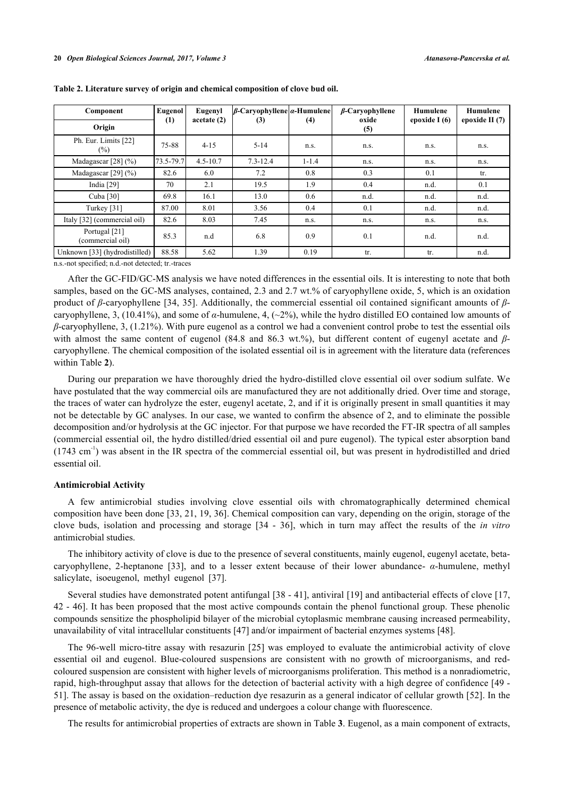| Component                         | Eugenol <sup>1</sup><br>(1) | Eugenyl<br>acetate(2) | $\beta$ -Caryophyllene $\alpha$ -Humulene | $\beta$ -Caryophyllene<br>oxide |      | Humulene<br>epoxide $I(6)$ | Humulene<br>epoxide II $(7)$ |
|-----------------------------------|-----------------------------|-----------------------|-------------------------------------------|---------------------------------|------|----------------------------|------------------------------|
| Origin                            |                             |                       | (3)                                       | (4)                             | (5)  |                            |                              |
| Ph. Eur. Limits [22]<br>$(\%)$    | 75-88                       | $4 - 15$              | $5-14$                                    | n.s.                            | n.s. | n.s.                       | n.s.                         |
| Madagascar $[28]$ (%)             | 73.5-79.7                   | $4.5 - 10.7$          | $7.3 - 12.4$                              | $1 - 1.4$                       | n.s. | n.s.                       | n.s.                         |
| Madagascar [29] $(\% )$           | 82.6                        | 6.0                   | 7.2                                       | 0.8                             | 0.3  | 0.1                        | tr.                          |
| India $[29]$                      | 70                          | 2.1                   | 19.5                                      | 1.9                             | 0.4  | n.d.                       | 0.1                          |
| Cuba [30]                         | 69.8                        | 16.1                  | 13.0                                      | 0.6                             | n.d. | n.d.                       | n.d.                         |
| Turkey [31]                       | 87.00                       | 8.01                  | 3.56                                      | 0.4                             | 0.1  | n.d.                       | n.d.                         |
| Italy [32] (commercial oil)       | 82.6                        | 8.03                  | 7.45                                      | n.s.                            | n.s. | n.s.                       | n.s.                         |
| Portugal [21]<br>(commercial oil) | 85.3                        | n.d                   | 6.8                                       | 0.9                             | 0.1  | n.d.                       | n.d.                         |
| Unknown [33] (hydrodistilled)     | 88.58                       | 5.62                  | 1.39                                      | 0.19                            | tr.  | tr.                        | n.d.                         |

|  |  |  | Table 2. Literature survey of origin and chemical composition of clove bud oil. |  |
|--|--|--|---------------------------------------------------------------------------------|--|
|  |  |  |                                                                                 |  |

n.s.-not specified; n.d.-not detected; tr.-traces

After the GC-FID/GC-MS analysis we have noted differences in the essential oils. It is interesting to note that both samples, based on the GC-MS analyses, contained, 2.3 and 2.7 wt.% of caryophyllene oxide, 5, which is an oxidation product of *β*-caryophyllene [\[34,](#page-8-3) [35\]](#page-8-4). Additionally, the commercial essential oil contained significant amounts of *β*caryophyllene, 3, (10.41%), and some of *α*-humulene, 4, (~2%), while the hydro distilled EO contained low amounts of *β*-caryophyllene, 3, (1.21%). With pure eugenol as a control we had a convenient control probe to test the essential oils with almost the same content of eugenol (84.8 and 86.3 wt.%), but different content of eugenyl acetate and *β*caryophyllene. The chemical composition of the isolated essential oil is in agreement with the literature data (references within Table **[2](#page-3-0)**).

During our preparation we have thoroughly dried the hydro-distilled clove essential oil over sodium sulfate. We have postulated that the way commercial oils are manufactured they are not additionally dried. Over time and storage, the traces of water can hydrolyze the ester, eugenyl acetate, 2, and if it is originally present in small quantities it may not be detectable by GC analyses. In our case, we wanted to confirm the absence of 2, and to eliminate the possible decomposition and/or hydrolysis at the GC injector. For that purpose we have recorded the FT-IR spectra of all samples (commercial essential oil, the hydro distilled/dried essential oil and pure eugenol). The typical ester absorption band  $(1743 \text{ cm}^{-1})$  was absent in the IR spectra of the commercial essential oil, but was present in hydrodistilled and dried essential oil.

# **Antimicrobial Activity**

A few antimicrobial studies involving clove essential oils with chromatographically determined chemical composition have been done [[33,](#page-8-0) [21](#page-7-5), [19,](#page-7-15) [36](#page-8-5)]. Chemical composition can vary, depending on the origin, storage of the clove buds, isolation and processing and storage [\[34](#page-8-3) - [36\]](#page-8-5), which in turn may affect the results of the *in vitro* antimicrobial studies.

The inhibitory activity of clove is due to the presence of several constituents, mainly eugenol, eugenyl acetate, betacaryophyllene, 2-heptanone[[33\]](#page-8-0), and to a lesser extent because of their lower abundance- *α*-humulene, methyl salicylate, isoeugenol, methyl eugenol[[37\]](#page-8-6).

Several studies have demonstrated potent antifungal [\[38](#page-8-7) - [41\]](#page-8-8), antiviral [[19\]](#page-7-15) and antibacterial effects of clove [[17](#page-7-4), [42](#page-8-9) - [46\]](#page-8-10). It has been proposed that the most active compounds contain the phenol functional group. These phenolic compounds sensitize the phospholipid bilayer of the microbial cytoplasmic membrane causing increased permeability, unavailability of vital intracellular constituents [[47\]](#page-8-11) and/or impairment of bacterial enzymes systems [[48\]](#page-8-12).

The 96-well micro-titre assay with resazurin [[25\]](#page-7-9) was employed to evaluate the antimicrobial activity of clove essential oil and eugenol. Blue-coloured suspensions are consistent with no growth of microorganisms, and redcoloured suspension are consistent with higher levels of microorganisms proliferation. This method is a nonradiometric, rapid, high-throughput assay that allows for the detection of bacterial activity with a high degree of confidence [[49](#page-8-13) - [51\]](#page-8-14). The assay is based on the oxidation–reduction dye resazurin as a general indicator of cellular growth [[52](#page-8-15)]. In the presence of metabolic activity, the dye is reduced and undergoes a colour change with fluorescence.

The results for antimicrobial properties of extracts are shown in Table **[3](#page-5-0)**. Eugenol, as a main component of extracts,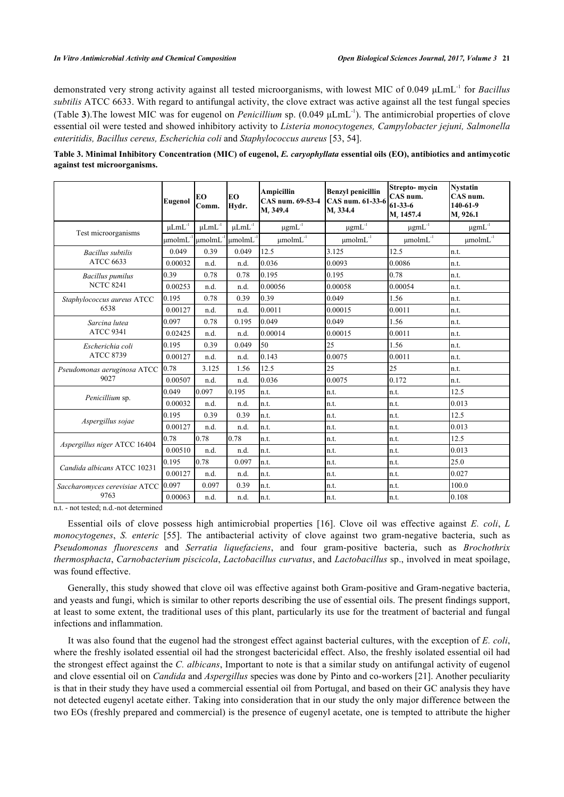demonstrated very strong activity against all tested microorganisms, with lowest MIC of 0.049 μLmL-1 for *Bacillus subtilis* ATCC 6633. With regard to antifungal activity, the clove extract was active against all the test fungal species (Table **[3](#page-5-0)**).The lowest MIC was for eugenol on *Penicillium* sp. (0.049 μLmL-1). The antimicrobial properties of clove essential oil were tested and showed inhibitory activity to *Listeria monocytogenes, Campylobacter jejuni, Salmonella enteritidis, Bacillus cereus, Escherichia coli* and *Staphylococcus aureus* [\[53](#page-9-0), [54](#page-9-1)].

<span id="page-5-0"></span>**Table 3. Minimal Inhibitory Concentration (MIC) of eugenol,** *E. caryophyllata* **essential oils (EO), antibiotics and antimycotic against test microorganisms.**

|                                      | <b>Eugenol</b>         | EO<br>Comm.           | EO<br>Hydr.         | <b>Ampicillin</b><br>CAS num. 69-53-4<br>M. 349.4 | <b>Benzyl penicillin</b><br>CAS num. 61-33-6<br>M. 334.4 | Strepto-mycin<br>CAS num.<br>$61 - 33 - 6$<br>M. 1457.4 | <b>Nystatin</b><br>CAS num.<br>140-61-9<br>M. 926.1 |
|--------------------------------------|------------------------|-----------------------|---------------------|---------------------------------------------------|----------------------------------------------------------|---------------------------------------------------------|-----------------------------------------------------|
|                                      | $\mu LmL^{-1}$         | $\mu LmL^{\text{-}1}$ | $\mu LmL^{-1}$      | $\mu\text{g}mL^{\text{-}1}$                       | $\mu\text{g}mL^{\text{-}1}$                              | $\mu g m L^{\text{-}1}$                                 | $\mu g m L^{\text{-}1}$                             |
| Test microorganisms                  | $umolmL$ <sup>-1</sup> | umolmL <sup>-1</sup>  | $\mu$ molm $L^{-1}$ | $µmolmL^{-1}$                                     | $\mu$ molm $L^{-1}$                                      | $\mu$ molm $L^{-1}$                                     | $\mu$ molm $L^{-1}$                                 |
| <b>Bacillus</b> subtilis             | 0.049                  | 0.39                  | 0.049               | 12.5                                              | 3.125                                                    | 12.5                                                    | ln.t.                                               |
| <b>ATCC 6633</b>                     | 0.00032                | n.d.                  | n.d.                | 0.036                                             | 0.0093                                                   | 0.0086                                                  | ln.t.                                               |
| <b>Bacillus</b> pumilus              | 0.39                   | 0.78                  | 0.78                | 0.195                                             | 0.195                                                    | 0.78                                                    | ln.t.                                               |
| <b>NCTC 8241</b>                     | 0.00253                | n.d.                  | n.d.                | 0.00056                                           | 0.00058                                                  | 0.00054                                                 | ln.t.                                               |
| Staphylococcus aureus ATCC           | 0.195                  | 0.78                  | 0.39                | 0.39                                              | 0.049                                                    | 1.56                                                    | ln.t.                                               |
| 6538                                 | 0.00127                | n.d.                  | n.d.                | 0.0011                                            | 0.00015                                                  | 0.0011                                                  | n.t.                                                |
| Sarcina lutea                        | 0.097                  | 0.78                  | 0.195               | 0.049                                             | 0.049                                                    | 1.56                                                    | n.t.                                                |
| <b>ATCC 9341</b>                     | 0.02425                | n.d.                  | n.d.                | 0.00014                                           | 0.00015                                                  | 0.0011                                                  | ln.t.                                               |
| Escherichia coli<br><b>ATCC 8739</b> | 0.195                  | 0.39                  | 0.049               | 50                                                | 25                                                       | 1.56                                                    | n.t.                                                |
|                                      | 0.00127                | n.d.                  | n.d.                | 0.143                                             | 0.0075                                                   | 0.0011                                                  | ln.t.                                               |
| Pseudomonas aeruginosa ATCC<br>9027  | 0.78                   | 3.125                 | 1.56                | 12.5                                              | 25                                                       | 25                                                      | ln.t.                                               |
|                                      | 0.00507                | n.d.                  | n.d.                | 0.036                                             | 0.0075                                                   | 0.172                                                   | ln.t.                                               |
|                                      | 0.049                  | 0.097                 | 0.195               | n.t.                                              | n.t.                                                     | n.t.                                                    | 12.5                                                |
| Penicillium sp.                      | 0.00032                | n.d.                  | n.d.                | In.t.                                             | n.t.                                                     | n.t.                                                    | 0.013                                               |
|                                      | 0.195                  | 0.39                  | 0.39                | n.t.                                              | n.t.                                                     | n.t.                                                    | 12.5                                                |
| Aspergillus sojae                    | 0.00127                | n.d.                  | n.d.                | n.t.                                              | n.t.                                                     | n.t.                                                    | 0.013                                               |
|                                      | 0.78                   | 0.78                  | 0.78                | n.t.                                              | n.t.                                                     | n.t.                                                    | 12.5                                                |
| Aspergillus niger ATCC 16404         | 0.00510                | n.d.                  | n.d.                | In.t.                                             | n.t.                                                     | n.t.                                                    | 0.013                                               |
| Candida albicans ATCC 10231          | 0.195                  | 0.78                  | 0.097               | n.t.                                              | n.t.                                                     | n.t.                                                    | 25.0                                                |
|                                      | 0.00127                | n.d.                  | n.d.                | n.t.                                              | n.t.                                                     | n.t.                                                    | 0.027                                               |
| Saccharomyces cerevisiae ATCC        | 0.097                  | 0.097                 | 0.39                | n.t.                                              | n.t.                                                     | n.t.                                                    | 100.0                                               |
| 9763                                 | 0.00063                | n.d.                  | n.d.                | n.t.                                              | n.t.                                                     | n.t.                                                    | 0.108                                               |

n.t. - not tested; n.d.-not determined

Essential oils of clove possess high antimicrobial properties[[16](#page-7-3)]. Clove oil was effective against *E. coli*, *L monocytogenes*, *S. enteric* [\[55](#page-9-2)]. The antibacterial activity of clove against two gram-negative bacteria, such as *Pseudomonas fluorescens* and *Serratia liquefaciens*, and four gram-positive bacteria, such as *Brochothrix thermosphacta*, *Carnobacterium piscicola*, *Lactobacillus curvatus*, and *Lactobacillus* sp., involved in meat spoilage, was found effective.

Generally, this study showed that clove oil was effective against both Gram-positive and Gram-negative bacteria, and yeasts and fungi, which is similar to other reports describing the use of essential oils. The present findings support, at least to some extent, the traditional uses of this plant, particularly its use for the treatment of bacterial and fungal infections and inflammation.

It was also found that the eugenol had the strongest effect against bacterial cultures, with the exception of *E. coli*, where the freshly isolated essential oil had the strongest bactericidal effect. Also, the freshly isolated essential oil had the strongest effect against the *C. albicans*, Important to note is that a similar study on antifungal activity of eugenol and clove essential oil on *Candida* and *Aspergillus* species was done by Pinto and co-workers [\[21](#page-7-5)]. Another peculiarity is that in their study they have used a commercial essential oil from Portugal, and based on their GC analysis they have not detected eugenyl acetate either. Taking into consideration that in our study the only major difference between the two EOs (freshly prepared and commercial) is the presence of eugenyl acetate, one is tempted to attribute the higher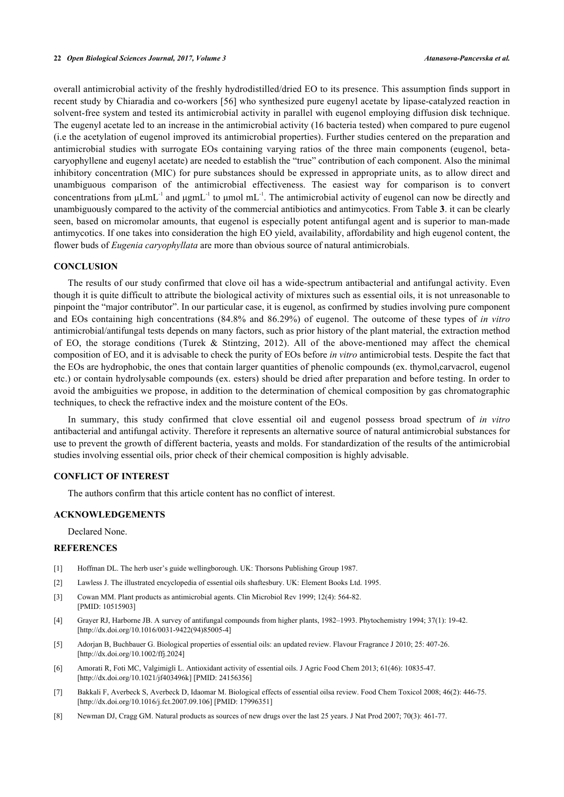overall antimicrobial activity of the freshly hydrodistilled/dried EO to its presence. This assumption finds support in recent study by Chiaradia and co-workers [\[56](#page-9-3)] who synthesized pure eugenyl acetate by lipase-catalyzed reaction in solvent-free system and tested its antimicrobial activity in parallel with eugenol employing diffusion disk technique. The eugenyl acetate led to an increase in the antimicrobial activity (16 bacteria tested) when compared to pure eugenol (i.e the acetylation of eugenol improved its antimicrobial properties). Further studies centered on the preparation and antimicrobial studies with surrogate EOs containing varying ratios of the three main components (eugenol, betacaryophyllene and eugenyl acetate) are needed to establish the "true" contribution of each component. Also the minimal inhibitory concentration (MIC) for pure substances should be expressed in appropriate units, as to allow direct and unambiguous comparison of the antimicrobial effectiveness. The easiest way for comparison is to convert concentrations from μLmL<sup>-1</sup> and μgmL<sup>-1</sup> to μmol mL<sup>-1</sup>. The antimicrobial activity of eugenol can now be directly and unambiguously compared to the activity of the commercial antibiotics and antimycotics. From Table **[3](#page-5-0)**. it can be clearly seen, based on micromolar amounts, that eugenol is especially potent antifungal agent and is superior to man-made antimycotics. If one takes into consideration the high EO yield, availability, affordability and high eugenol content, the flower buds of *Eugenia caryophyllata* are more than obvious source of natural antimicrobials.

# **CONCLUSION**

The results of our study confirmed that clove oil has a wide-spectrum antibacterial and antifungal activity. Even though it is quite difficult to attribute the biological activity of mixtures such as essential oils, it is not unreasonable to pinpoint the "major contributor". In our particular case, it is eugenol, as confirmed by studies involving pure component and EOs containing high concentrations (84.8% and 86.29%) of eugenol. The outcome of these types of *in vitro* antimicrobial/antifungal tests depends on many factors, such as prior history of the plant material, the extraction method of EO, the storage conditions (Turek & Stintzing, 2012). All of the above-mentioned may affect the chemical composition of EO, and it is advisable to check the purity of EOs before *in vitro* antimicrobial tests. Despite the fact that the EOs are hydrophobic, the ones that contain larger quantities of phenolic compounds (ex. thymol,carvacrol, eugenol etc.) or contain hydrolysable compounds (ex. esters) should be dried after preparation and before testing. In order to avoid the ambiguities we propose, in addition to the determination of chemical composition by gas chromatographic techniques, to check the refractive index and the moisture content of the EOs.

In summary, this study confirmed that clove essential oil and eugenol possess broad spectrum of *in vitro* antibacterial and antifungal activity. Therefore it represents an alternative source of natural antimicrobial substances for use to prevent the growth of different bacteria, yeasts and molds. For standardization of the results of the antimicrobial studies involving essential oils, prior check of their chemical composition is highly advisable.

# **CONFLICT OF INTEREST**

The authors confirm that this article content has no conflict of interest.

## **ACKNOWLEDGEMENTS**

Declared None.

## **REFERENCES**

- <span id="page-6-0"></span>[1] Hoffman DL. The herb user's guide wellingborough. UK: Thorsons Publishing Group 1987.
- <span id="page-6-1"></span>[2] Lawless J. The illustrated encyclopedia of essential oils shaftesbury. UK: Element Books Ltd. 1995.
- <span id="page-6-2"></span>[3] Cowan MM. Plant products as antimicrobial agents. Clin Microbiol Rev 1999; 12(4): 564-82. [PMID: [10515903\]](http://www.ncbi.nlm.nih.gov/pubmed/10515903)
- <span id="page-6-3"></span>[4] Grayer RJ, Harborne JB. A survey of antifungal compounds from higher plants, 1982–1993. Phytochemistry 1994; 37(1): 19-42. [\[http://dx.doi.org/10.1016/0031-9422\(94\)85005-4](http://dx.doi.org/10.1016/0031-9422(94)85005-4)]
- <span id="page-6-4"></span>[5] Adorjan B, Buchbauer G. Biological properties of essential oils: an updated review. Flavour Fragrance J 2010; 25: 407-26. [\[http://dx.doi.org/10.1002/ffj.2024](http://dx.doi.org/10.1002/ffj.2024)]
- <span id="page-6-5"></span>[6] Amorati R, Foti MC, Valgimigli L. Antioxidant activity of essential oils. J Agric Food Chem 2013; 61(46): 10835-47. [\[http://dx.doi.org/10.1021/jf403496k\]](http://dx.doi.org/10.1021/jf403496k) [PMID: [24156356](http://www.ncbi.nlm.nih.gov/pubmed/24156356)]
- <span id="page-6-6"></span>[7] Bakkali F, Averbeck S, Averbeck D, Idaomar M. Biological effects of essential oilsa review. Food Chem Toxicol 2008; 46(2): 446-75. [\[http://dx.doi.org/10.1016/j.fct.2007.09.106](http://dx.doi.org/10.1016/j.fct.2007.09.106)] [PMID: [17996351](http://www.ncbi.nlm.nih.gov/pubmed/17996351)]
- <span id="page-6-7"></span>[8] Newman DJ, Cragg GM. Natural products as sources of new drugs over the last 25 years. J Nat Prod 2007; 70(3): 461-77.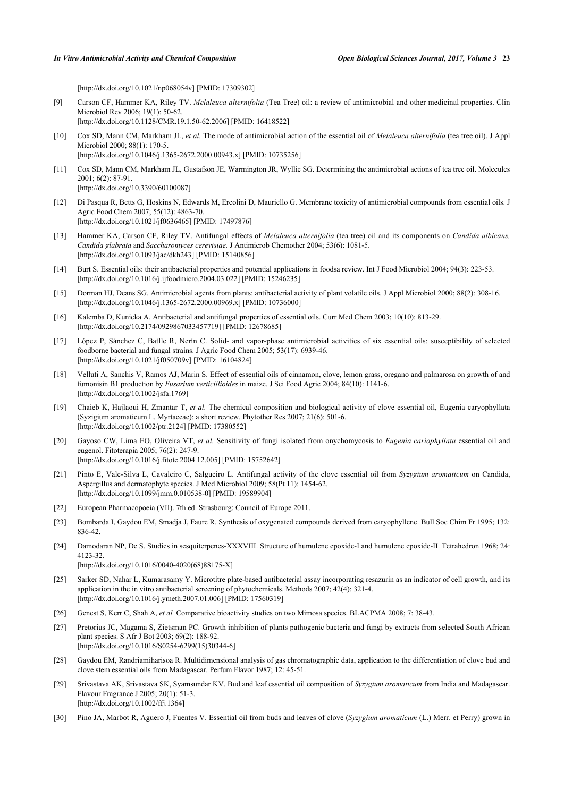[\[http://dx.doi.org/10.1021/np068054v\]](http://dx.doi.org/10.1021/np068054v) [PMID: [17309302](http://www.ncbi.nlm.nih.gov/pubmed/17309302)]

- <span id="page-7-0"></span>[9] Carson CF, Hammer KA, Riley TV. *Melaleuca alternifolia* (Tea Tree) oil: a review of antimicrobial and other medicinal properties. Clin Microbiol Rev 2006; 19(1): 50-62. [\[http://dx.doi.org/10.1128/CMR.19.1.50-62.2006](http://dx.doi.org/10.1128/CMR.19.1.50-62.2006)] [PMID: [16418522\]](http://www.ncbi.nlm.nih.gov/pubmed/16418522)
- [10] Cox SD, Mann CM, Markham JL, *et al.* The mode of antimicrobial action of the essential oil of *Melaleuca alternifolia* (tea tree oil). J Appl Microbiol 2000; 88(1): 170-5. [\[http://dx.doi.org/10.1046/j.1365-2672.2000.00943.x\]](http://dx.doi.org/10.1046/j.1365-2672.2000.00943.x) [PMID: [10735256](http://www.ncbi.nlm.nih.gov/pubmed/10735256)]
- [11] Cox SD, Mann CM, Markham JL, Gustafson JE, Warmington JR, Wyllie SG. Determining the antimicrobial actions of tea tree oil. Molecules 2001; 6(2): 87-91. [\[http://dx.doi.org/10.3390/60100087\]](http://dx.doi.org/10.3390/60100087)
- [12] Di Pasqua R, Betts G, Hoskins N, Edwards M, Ercolini D, Mauriello G. Membrane toxicity of antimicrobial compounds from essential oils. J Agric Food Chem 2007; 55(12): 4863-70. [\[http://dx.doi.org/10.1021/jf0636465\]](http://dx.doi.org/10.1021/jf0636465) [PMID: [17497876](http://www.ncbi.nlm.nih.gov/pubmed/17497876)]
- <span id="page-7-1"></span>[13] Hammer KA, Carson CF, Riley TV. Antifungal effects of *Melaleuca alternifolia* (tea tree) oil and its components on *Candida albicans, Candida glabrata* and *Saccharomyces cerevisiae.* J Antimicrob Chemother 2004; 53(6): 1081-5. [\[http://dx.doi.org/10.1093/jac/dkh243](http://dx.doi.org/10.1093/jac/dkh243)] [PMID: [15140856\]](http://www.ncbi.nlm.nih.gov/pubmed/15140856)
- <span id="page-7-2"></span>[14] Burt S. Essential oils: their antibacterial properties and potential applications in foodsa review. Int J Food Microbiol 2004; 94(3): 223-53. [\[http://dx.doi.org/10.1016/j.ijfoodmicro.2004.03.022\]](http://dx.doi.org/10.1016/j.ijfoodmicro.2004.03.022) [PMID: [15246235](http://www.ncbi.nlm.nih.gov/pubmed/15246235)]
- [15] Dorman HJ, Deans SG. Antimicrobial agents from plants: antibacterial activity of plant volatile oils. J Appl Microbiol 2000; 88(2): 308-16. [\[http://dx.doi.org/10.1046/j.1365-2672.2000.00969.x\]](http://dx.doi.org/10.1046/j.1365-2672.2000.00969.x) [PMID: [10736000](http://www.ncbi.nlm.nih.gov/pubmed/10736000)]
- <span id="page-7-3"></span>[16] Kalemba D, Kunicka A. Antibacterial and antifungal properties of essential oils. Curr Med Chem 2003; 10(10): 813-29. [\[http://dx.doi.org/10.2174/0929867033457719\]](http://dx.doi.org/10.2174/0929867033457719) [PMID: [12678685](http://www.ncbi.nlm.nih.gov/pubmed/12678685)]
- <span id="page-7-4"></span>[17] López P, Sánchez C, Batlle R, Nerín C. Solid- and vapor-phase antimicrobial activities of six essential oils: susceptibility of selected foodborne bacterial and fungal strains. J Agric Food Chem 2005; 53(17): 6939-46. [\[http://dx.doi.org/10.1021/jf050709v\]](http://dx.doi.org/10.1021/jf050709v) [PMID: [16104824](http://www.ncbi.nlm.nih.gov/pubmed/16104824)]
- [18] Velluti A, Sanchis V, Ramos AJ, Marin S. Effect of essential oils of cinnamon, clove, lemon grass, oregano and palmarosa on growth of and fumonisin B1 production by *Fusarium verticillioides* in maize. J Sci Food Agric 2004; 84(10): 1141-6. [\[http://dx.doi.org/10.1002/jsfa.1769](http://dx.doi.org/10.1002/jsfa.1769)]
- <span id="page-7-15"></span>[19] Chaieb K, Hajlaoui H, Zmantar T, *et al.* The chemical composition and biological activity of clove essential oil, Eugenia caryophyllata (Syzigium aromaticum L. Myrtaceae): a short review. Phytother Res 2007; 21(6): 501-6. [\[http://dx.doi.org/10.1002/ptr.2124\]](http://dx.doi.org/10.1002/ptr.2124) [PMID: [17380552](http://www.ncbi.nlm.nih.gov/pubmed/17380552)]
- [20] Gayoso CW, Lima EO, Oliveira VT, *et al.* Sensitivity of fungi isolated from onychomycosis to *Eugenia cariophyllata* essential oil and eugenol. Fitoterapia 2005; 76(2): 247-9. [\[http://dx.doi.org/10.1016/j.fitote.2004.12.005\]](http://dx.doi.org/10.1016/j.fitote.2004.12.005) [PMID: [15752642](http://www.ncbi.nlm.nih.gov/pubmed/15752642)]
- <span id="page-7-5"></span>[21] Pinto E, Vale-Silva L, Cavaleiro C, Salgueiro L. Antifungal activity of the clove essential oil from *Syzygium aromaticum* on Candida, Aspergillus and dermatophyte species. J Med Microbiol 2009; 58(Pt 11): 1454-62. [\[http://dx.doi.org/10.1099/jmm.0.010538-0](http://dx.doi.org/10.1099/jmm.0.010538-0)] [PMID: [19589904\]](http://www.ncbi.nlm.nih.gov/pubmed/19589904)
- <span id="page-7-6"></span>[22] European Pharmacopoeia (VII). 7th ed. Strasbourg: Council of Europe 2011.
- <span id="page-7-7"></span>[23] Bombarda I, Gaydou EM, Smadja J, Faure R. Synthesis of oxygenated compounds derived from caryophyllene. Bull Soc Chim Fr 1995; 132: 836-42.
- <span id="page-7-8"></span>[24] Damodaran NP, De S. Studies in sesquiterpenes-XXXVIII. Structure of humulene epoxide-I and humulene epoxide-II. Tetrahedron 1968; 24: 4123-32. [\[http://dx.doi.org/10.1016/0040-4020\(68\)88175-X](http://dx.doi.org/10.1016/0040-4020(68)88175-X)]
- <span id="page-7-9"></span>[25] Sarker SD, Nahar L, Kumarasamy Y. Microtitre plate-based antibacterial assay incorporating resazurin as an indicator of cell growth, and its application in the in vitro antibacterial screening of phytochemicals. Methods 2007; 42(4): 321-4.

[\[http://dx.doi.org/10.1016/j.ymeth.2007.01.006](http://dx.doi.org/10.1016/j.ymeth.2007.01.006)] [PMID: [17560319\]](http://www.ncbi.nlm.nih.gov/pubmed/17560319)

- <span id="page-7-10"></span>[26] Genest S, Kerr C, Shah A, *et al.* Comparative bioactivity studies on two Mimosa species. BLACPMA 2008; 7: 38-43.
- <span id="page-7-11"></span>[27] Pretorius JC, Magama S, Zietsman PC. Growth inhibition of plants pathogenic bacteria and fungi by extracts from selected South African plant species. S Afr J Bot 2003; 69(2): 188-92. [\[http://dx.doi.org/10.1016/S0254-6299\(15\)30344-6\]](http://dx.doi.org/10.1016/S0254-6299(15)30344-6)
- <span id="page-7-12"></span>[28] Gaydou EM, Randriamiharisoa R. Multidimensional analysis of gas chromatographic data, application to the differentiation of clove bud and clove stem essential oils from Madagascar. Perfum Flavor 1987; 12: 45-51.
- <span id="page-7-13"></span>[29] Srivastava AK, Srivastava SK, Syamsundar KV. Bud and leaf essential oil composition of *Syzygium aromaticum* from India and Madagascar. Flavour Fragrance J 2005; 20(1): 51-3. [\[http://dx.doi.org/10.1002/ffj.1364](http://dx.doi.org/10.1002/ffj.1364)]
- <span id="page-7-14"></span>[30] Pino JA, Marbot R, Aguero J, Fuentes V. Essential oil from buds and leaves of clove (*Syzygium aromaticum* (L.) Merr. et Perry) grown in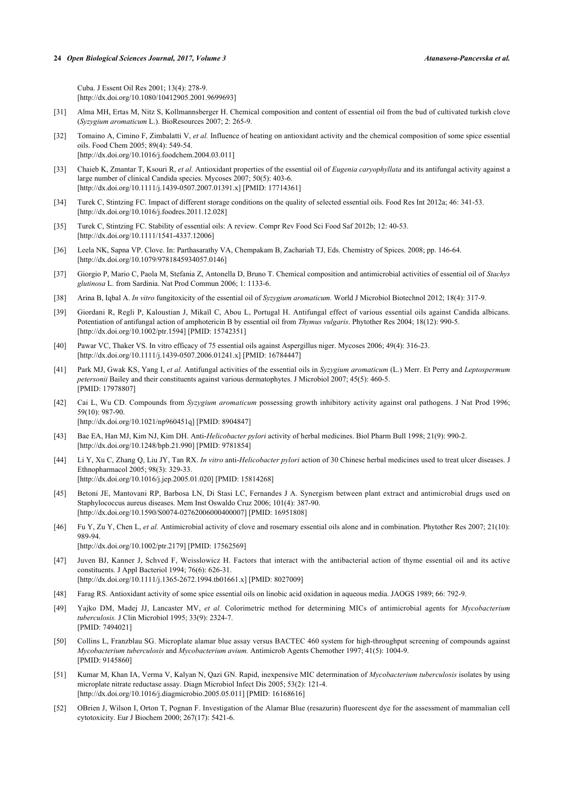Cuba. J Essent Oil Res 2001; 13(4): 278-9. [\[http://dx.doi.org/10.1080/10412905.2001.9699693\]](http://dx.doi.org/10.1080/10412905.2001.9699693)

- <span id="page-8-1"></span>[31] Alma MH, Ertas M, Nitz S, Kollmannsberger H. Chemical composition and content of essential oil from the bud of cultivated turkish clove (*Syzygium aromaticum* L.). BioResources 2007; 2: 265-9.
- <span id="page-8-2"></span>[32] Tomaino A, Cimino F, Zimbalatti V, *et al.* Influence of heating on antioxidant activity and the chemical composition of some spice essential oils. Food Chem 2005; 89(4): 549-54. [\[http://dx.doi.org/10.1016/j.foodchem.2004.03.011](http://dx.doi.org/10.1016/j.foodchem.2004.03.011)]
- <span id="page-8-0"></span>[33] Chaieb K, Zmantar T, Ksouri R, *et al.* Antioxidant properties of the essential oil of *Eugenia caryophyllata* and its antifungal activity against a large number of clinical Candida species. Mycoses 2007; 50(5): 403-6. [\[http://dx.doi.org/10.1111/j.1439-0507.2007.01391.x\]](http://dx.doi.org/10.1111/j.1439-0507.2007.01391.x) [PMID: [17714361](http://www.ncbi.nlm.nih.gov/pubmed/17714361)]
- <span id="page-8-3"></span>[34] Turek C, Stintzing FC. Impact of different storage conditions on the quality of selected essential oils. Food Res Int 2012a; 46: 341-53. [\[http://dx.doi.org/10.1016/j.foodres.2011.12.028](http://dx.doi.org/10.1016/j.foodres.2011.12.028)]
- <span id="page-8-4"></span>[35] Turek C, Stintzing FC. Stability of essential oils: A review. Compr Rev Food Sci Food Saf 2012b; 12: 40-53. [\[http://dx.doi.org/10.1111/1541-4337.12006](http://dx.doi.org/10.1111/1541-4337.12006)]
- <span id="page-8-5"></span>[36] Leela NK, Sapna VP. Clove. In: Parthasarathy VA, Chempakam B, Zachariah TJ, Eds. Chemistry of Spices. 2008; pp. 146-64. [\[http://dx.doi.org/10.1079/9781845934057.0146\]](http://dx.doi.org/10.1079/9781845934057.0146)
- <span id="page-8-6"></span>[37] Giorgio P, Mario C, Paola M, Stefania Z, Antonella D, Bruno T. Chemical composition and antimicrobial activities of essential oil of *Stachys glutinosa* L. from Sardinia. Nat Prod Commun 2006; 1: 1133-6.
- <span id="page-8-7"></span>[38] Arina B, Iqbal A. *In vitro* fungitoxicity of the essential oil of *Syzygium aromaticum.* World J Microbiol Biotechnol 2012; 18(4): 317-9.
- [39] Giordani R, Regli P, Kaloustian J, Mikaïl C, Abou L, Portugal H. Antifungal effect of various essential oils against Candida albicans. Potentiation of antifungal action of amphotericin B by essential oil from *Thymus vulgaris*. Phytother Res 2004; 18(12): 990-5. [\[http://dx.doi.org/10.1002/ptr.1594\]](http://dx.doi.org/10.1002/ptr.1594) [PMID: [15742351](http://www.ncbi.nlm.nih.gov/pubmed/15742351)]
- [40] Pawar VC, Thaker VS. In vitro efficacy of 75 essential oils against Aspergillus niger. Mycoses 2006; 49(4): 316-23. [\[http://dx.doi.org/10.1111/j.1439-0507.2006.01241.x\]](http://dx.doi.org/10.1111/j.1439-0507.2006.01241.x) [PMID: [16784447](http://www.ncbi.nlm.nih.gov/pubmed/16784447)]
- <span id="page-8-8"></span>[41] Park MJ, Gwak KS, Yang I, *et al.* Antifungal activities of the essential oils in *Syzygium aromaticum* (L.) Merr. Et Perry and *Leptospermum petersonii* Bailey and their constituents against various dermatophytes. J Microbiol 2007; 45(5): 460-5. [PMID: [17978807\]](http://www.ncbi.nlm.nih.gov/pubmed/17978807)
- <span id="page-8-9"></span>[42] Cai L, Wu CD. Compounds from *Syzygium aromaticum* possessing growth inhibitory activity against oral pathogens. J Nat Prod 1996; 59(10): 987-90. [\[http://dx.doi.org/10.1021/np960451q\]](http://dx.doi.org/10.1021/np960451q) [PMID: [8904847](http://www.ncbi.nlm.nih.gov/pubmed/8904847)]
- [43] Bae EA, Han MJ, Kim NJ, Kim DH. Anti-*Helicobacter pylori* activity of herbal medicines. Biol Pharm Bull 1998; 21(9): 990-2. [\[http://dx.doi.org/10.1248/bpb.21.990\]](http://dx.doi.org/10.1248/bpb.21.990) [PMID: [9781854](http://www.ncbi.nlm.nih.gov/pubmed/9781854)]
- [44] Li Y, Xu C, Zhang Q, Liu JY, Tan RX. *In vitro* anti-*Helicobacter pylori* action of 30 Chinese herbal medicines used to treat ulcer diseases. J Ethnopharmacol 2005; 98(3): 329-33. [\[http://dx.doi.org/10.1016/j.jep.2005.01.020\]](http://dx.doi.org/10.1016/j.jep.2005.01.020) [PMID: [15814268](http://www.ncbi.nlm.nih.gov/pubmed/15814268)]
- [45] Betoni JE, Mantovani RP, Barbosa LN, Di Stasi LC, Fernandes J A. Synergism between plant extract and antimicrobial drugs used on Staphylococcus aureus diseases. Mem Inst Oswaldo Cruz 2006; 101(4): 387-90. [\[http://dx.doi.org/10.1590/S0074-02762006000400007\]](http://dx.doi.org/10.1590/S0074-02762006000400007) [PMID: [16951808](http://www.ncbi.nlm.nih.gov/pubmed/16951808)]
- <span id="page-8-10"></span>[46] Fu Y, Zu Y, Chen L, *et al.* Antimicrobial activity of clove and rosemary essential oils alone and in combination. Phytother Res 2007; 21(10): 989-94.
	- [\[http://dx.doi.org/10.1002/ptr.2179\]](http://dx.doi.org/10.1002/ptr.2179) [PMID: [17562569](http://www.ncbi.nlm.nih.gov/pubmed/17562569)]
- <span id="page-8-11"></span>[47] Juven BJ, Kanner J, Schved F, Weisslowicz H. Factors that interact with the antibacterial action of thyme essential oil and its active constituents. J Appl Bacteriol 1994; 76(6): 626-31. [\[http://dx.doi.org/10.1111/j.1365-2672.1994.tb01661.x\]](http://dx.doi.org/10.1111/j.1365-2672.1994.tb01661.x) [PMID: [8027009](http://www.ncbi.nlm.nih.gov/pubmed/8027009)]
- <span id="page-8-12"></span>[48] Farag RS. Antioxidant activity of some spice essential oils on linobic acid oxidation in aqueous media. JAOGS 1989; 66: 792-9.
- <span id="page-8-13"></span>[49] Yajko DM, Madej JJ, Lancaster MV, *et al.* Colorimetric method for determining MICs of antimicrobial agents for *Mycobacterium tuberculosis.* J Clin Microbiol 1995; 33(9): 2324-7. [PMID: [7494021\]](http://www.ncbi.nlm.nih.gov/pubmed/7494021)
- [50] Collins L, Franzblau SG. Microplate alamar blue assay versus BACTEC 460 system for high-throughput screening of compounds against *Mycobacterium tuberculosis* and *Mycobacterium avium.* Antimicrob Agents Chemother 1997; 41(5): 1004-9. [PMID: [9145860\]](http://www.ncbi.nlm.nih.gov/pubmed/9145860)
- <span id="page-8-14"></span>[51] Kumar M, Khan IA, Verma V, Kalyan N, Qazi GN. Rapid, inexpensive MIC determination of *Mycobacterium tuberculosis* isolates by using microplate nitrate reductase assay. Diagn Microbiol Infect Dis 2005; 53(2): 121-4. [\[http://dx.doi.org/10.1016/j.diagmicrobio.2005.05.011\]](http://dx.doi.org/10.1016/j.diagmicrobio.2005.05.011) [PMID: [16168616](http://www.ncbi.nlm.nih.gov/pubmed/16168616)]
- <span id="page-8-15"></span>[52] OBrien J, Wilson I, Orton T, Pognan F. Investigation of the Alamar Blue (resazurin) fluorescent dye for the assessment of mammalian cell cytotoxicity. Eur J Biochem 2000; 267(17): 5421-6.